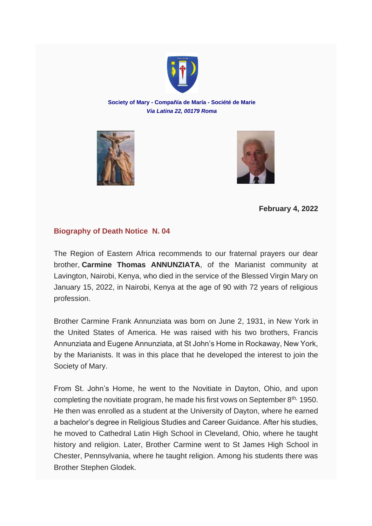

**Society of Mary - Compañía de María - Société de Marie** *Via Latina 22, 00179 Roma*





**February 4, 2022**

## **Biography of Death Notice N. 04**

The Region of Eastern Africa recommends to our fraternal prayers our dear brother, **Carmine Thomas ANNUNZIATA**, of the Marianist community at Lavington, Nairobi, Kenya, who died in the service of the Blessed Virgin Mary on January 15, 2022, in Nairobi, Kenya at the age of 90 with 72 years of religious profession.

Brother Carmine Frank Annunziata was born on June 2, 1931, in New York in the United States of America. He was raised with his two brothers, Francis Annunziata and Eugene Annunziata, at St John's Home in Rockaway, New York, by the Marianists. It was in this place that he developed the interest to join the Society of Mary.

From St. John's Home, he went to the Novitiate in Dayton, Ohio, and upon completing the novitiate program, he made his first vows on September  $8<sup>th</sup>$ , 1950. He then was enrolled as a student at the University of Dayton, where he earned a bachelor's degree in Religious Studies and Career Guidance. After his studies, he moved to Cathedral Latin High School in Cleveland, Ohio, where he taught history and religion. Later, Brother Carmine went to St James High School in Chester, Pennsylvania, where he taught religion. Among his students there was Brother Stephen Glodek.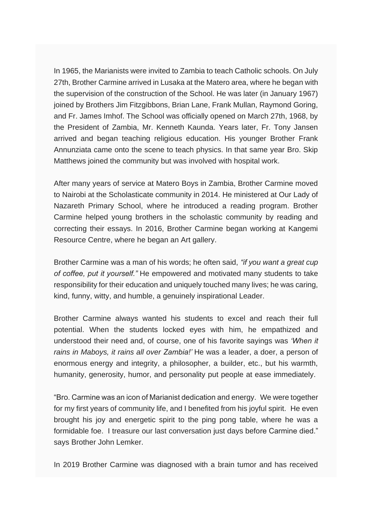In 1965, the Marianists were invited to Zambia to teach Catholic schools. On July 27th, Brother Carmine arrived in Lusaka at the Matero area, where he began with the supervision of the construction of the School. He was later (in January 1967) joined by Brothers Jim Fitzgibbons, Brian Lane, Frank Mullan, Raymond Goring, and Fr. James Imhof. The School was officially opened on March 27th, 1968, by the President of Zambia, Mr. Kenneth Kaunda. Years later, Fr. Tony Jansen arrived and began teaching religious education. His younger Brother Frank Annunziata came onto the scene to teach physics. In that same year Bro. Skip Matthews joined the community but was involved with hospital work.

After many years of service at Matero Boys in Zambia, Brother Carmine moved to Nairobi at the Scholasticate community in 2014. He ministered at Our Lady of Nazareth Primary School, where he introduced a reading program. Brother Carmine helped young brothers in the scholastic community by reading and correcting their essays. In 2016, Brother Carmine began working at Kangemi Resource Centre, where he began an Art gallery.

Brother Carmine was a man of his words; he often said, *"if you want a great cup of coffee, put it yourself."* He empowered and motivated many students to take responsibility for their education and uniquely touched many lives; he was caring, kind, funny, witty, and humble, a genuinely inspirational Leader.

Brother Carmine always wanted his students to excel and reach their full potential. When the students locked eyes with him, he empathized and understood their need and, of course, one of his favorite sayings was *'When it rains in Maboys, it rains all over Zambia!'* He was a leader, a doer, a person of enormous energy and integrity, a philosopher, a builder, etc., but his warmth, humanity, generosity, humor, and personality put people at ease immediately.

"Bro. Carmine was an icon of Marianist dedication and energy. We were together for my first years of community life, and I benefited from his joyful spirit. He even brought his joy and energetic spirit to the ping pong table, where he was a formidable foe. I treasure our last conversation just days before Carmine died." says Brother John Lemker.

In 2019 Brother Carmine was diagnosed with a brain tumor and has received